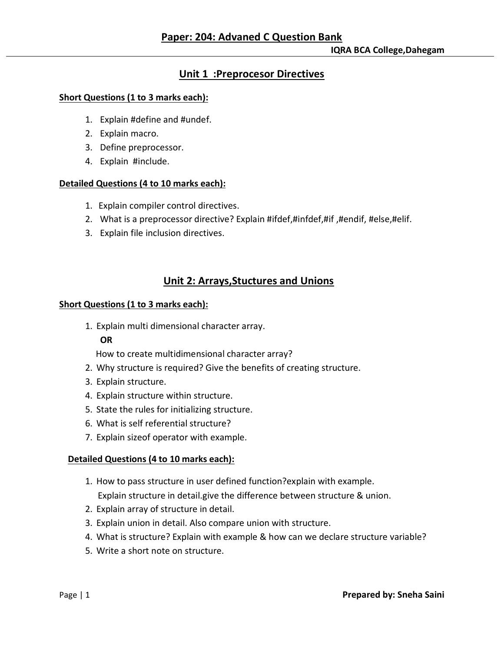## **Unit 1 :Preprocesor Directives**

#### **Short Questions (1 to 3 marks each):**

- 1. Explain #define and #undef.
- 2. Explain macro.
- 3. Define preprocessor.
- 4. Explain #include.

#### **Detailed Questions (4 to 10 marks each):**

- 1. Explain compiler control directives.
- 2. What is a preprocessor directive? Explain #ifdef,#infdef,#if ,#endif, #else,#elif.
- 3. Explain file inclusion directives.

## **Unit 2: Arrays,Stuctures and Unions**

#### **Short Questions (1 to 3 marks each):**

1. Explain multi dimensional character array.

#### **OR**

How to create multidimensional character array?

- 2. Why structure is required? Give the benefits of creating structure.
- 3. Explain structure.
- 4. Explain structure within structure.
- 5. State the rules for initializing structure.
- 6. What is self referential structure?
- 7. Explain sizeof operator with example.

#### **Detailed Questions (4 to 10 marks each):**

- 1. How to pass structure in user defined function?explain with example.
	- Explain structure in detail.give the difference between structure & union.
- 2. Explain array of structure in detail.
- 3. Explain union in detail. Also compare union with structure.
- 4. What is structure? Explain with example & how can we declare structure variable?
- 5. Write a short note on structure.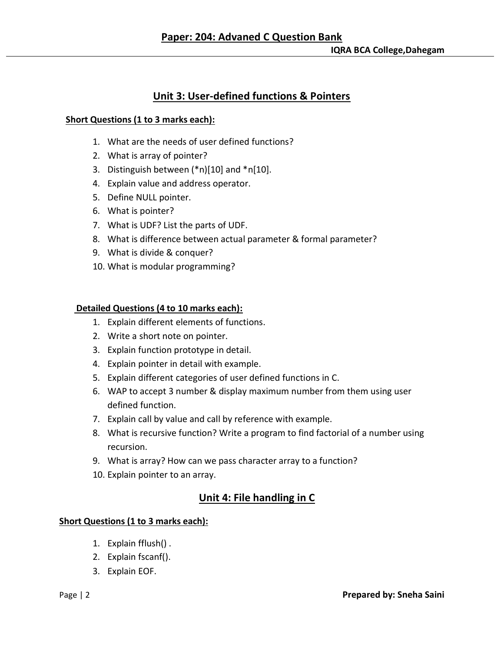# **Unit 3: User-defined functions & Pointers**

#### **Short Questions (1 to 3 marks each):**

- 1. What are the needs of user defined functions?
- 2. What is array of pointer?
- 3. Distinguish between (\*n)[10] and \*n[10].
- 4. Explain value and address operator.
- 5. Define NULL pointer.
- 6. What is pointer?
- 7. What is UDF? List the parts of UDF.
- 8. What is difference between actual parameter & formal parameter?
- 9. What is divide & conquer?
- 10. What is modular programming?

### **Detailed Questions (4 to 10 marks each):**

- 1. Explain different elements of functions.
- 2. Write a short note on pointer.
- 3. Explain function prototype in detail.
- 4. Explain pointer in detail with example.
- 5. Explain different categories of user defined functions in C.
- 6. WAP to accept 3 number & display maximum number from them using user defined function.
- 7. Explain call by value and call by reference with example.
- 8. What is recursive function? Write a program to find factorial of a number using recursion.
- 9. What is array? How can we pass character array to a function?
- 10. Explain pointer to an array.

# **Unit 4: File handling in C**

## **Short Questions (1 to 3 marks each):**

- 1. Explain fflush() .
- 2. Explain fscanf().
- 3. Explain EOF.